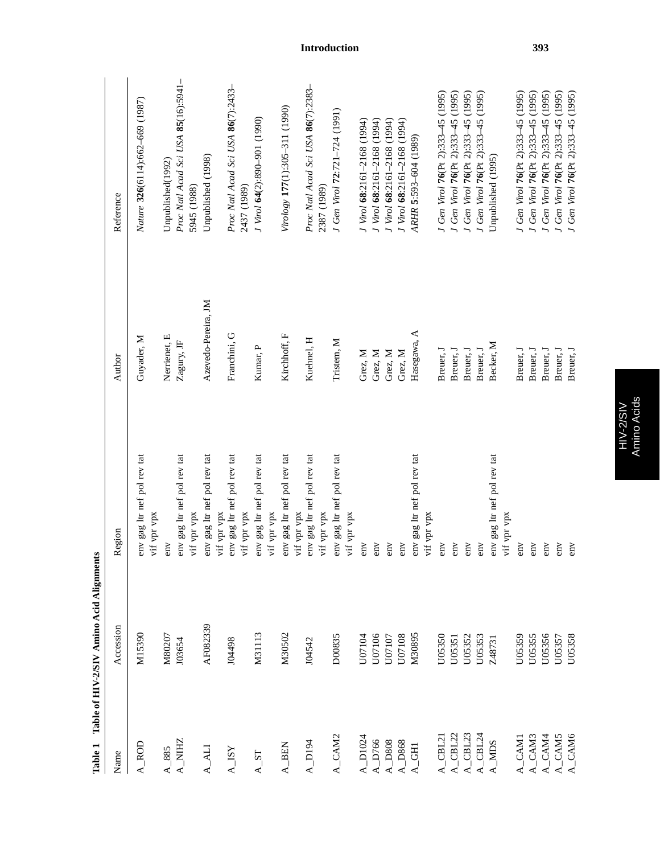| Name                                           | Accession | Region                                                    | Author              | Reference                                         |
|------------------------------------------------|-----------|-----------------------------------------------------------|---------------------|---------------------------------------------------|
| $A_R$                                          | M15390    | env gag ltr nef pol rev tat<br>vif vpr vpx                | Guyader, M          | Nature 326(6114):662-669 (1987)                   |
| $A_885$                                        | M80207    | env                                                       | Nerrienet, E        | Unpublished(1992)                                 |
| A_NIHZ                                         | 103654    | env gag ltr nef pol rev tat                               | Zagury, JF          | Proc Natl Acad Sci USA 85(16):5941-               |
|                                                |           | vif vpr vpx                                               |                     | 5945 (1988)                                       |
| <b>A_ALI</b>                                   | AF082339  | env gag ltr nef pol rev tat<br>vif vpr vpx                | Azevedo-Pereira, JM | Unpublished (1998)                                |
| $\mathbf{A}\_{\mathbf{I}\mathbf{S}\mathbf{Y}}$ | 104498    | env gag ltr nef pol rev tat<br>vif vpr vpx                | Franchini, G        | Proc Natl Acad Sci USA 86(7):2433-<br>2437 (1989) |
| $A_S$ T                                        | M31113    | env gag ltr nef pol rev tat<br>vif vpr vpx                | Kumar, P            | J Virol 64(2):890-901 (1990)                      |
| $\mathbf{A}\_\mathbf{BEN}$                     | M30502    | env gag ltr nef pol rev tat                               | Kirchhoff, F        | Virology 177(1):305-311 (1990)                    |
| $A_D194$                                       | J04542    | env gag ltr nef pol rev tat<br>vif vpr vpx<br>vif vpr vpx | Kuehnel, H          | Proc Natl Acad Sci USA 86(7):2383-<br>2387 (1989) |
| A_CAM2                                         | D00835    | env gag ltr nef pol rev tat<br>vif vpr vpx                | Tristem, M          | J Gen Virol 72:721-724 (1991)                     |
| $A_1024$                                       | U07104    | emv                                                       | Grez, M             | J Virol 68:2161-2168 (1994)                       |
| $A_D$ 766                                      | U07106    | emv                                                       | Grez, M             | J Virol 68:2161-2168 (1994)                       |
| $A$ <sub>D808</sub>                            | U07107    | env                                                       | Grez, M             | J Virol 68:2161-2168 (1994)                       |
| $A_$ D868                                      | U07108    | env                                                       | Grez, M             | J Virol 68:2161-2168 (1994)                       |
| $A_GHH$                                        | M30895    | env gag ltr nef pol rev tat<br>vif vpr vpx                | Hasegawa, A         | ARHR 5:593-604 (1989)                             |
| $A$ <sup></sup> CBL <sup>2</sup>               | U05350    | env                                                       | Breuer, J           | J Gen Virol 76(Pt 2):333-45 (1995)                |
| $A$ <sup><math>CHL2</math></sup>               | U05351    | env                                                       | Breuer, J           | J Gen Virol 76(Pt 2):333-45 (1995)                |
| $A_CIBL23$                                     | U05352    | emv                                                       | Breuer, J           | J Gen Virol 76(Pt 2):333-45 (1995)                |
| $A_C$ CBL24                                    | U05353    | env                                                       | Breuer, J           | J Gen Virol 76(Pt 2):333-45 (1995)                |
| $A$ <sub>M</sub>                               | Z48731    | env gag ltr nef pol rev tat<br>vif vpr vpx                | Becker, M           | Unpublished (1995)                                |
| A_CAM1                                         | U05359    | emv                                                       | Breuer, J           | J Gen Virol 76(Pt 2):333-45 (1995)                |
| A_CAM3                                         | U05355    | emv                                                       | Breuer, J           | J Gen Virol 76(Pt 2):333-45 (1995)                |
| A_CAM4                                         | U05356    | env                                                       | Breuer, J           | J Gen Virol 76(Pt 2):333-45 (1995)                |
| $A_C$ CAM5                                     | U05357    | env                                                       | Breuer, J           | J Gen Virol 76(Pt 2):333-45 (1995)                |
| $A_C$ CAM6                                     | U05358    | env                                                       | Breuer, J           | J Gen Virol 76(Pt 2):333-45 (1995)                |

Table 1 Table of HIV-2/SIV Amino Acid Alignments **Table 1 Table of HIV-2/SIV Amino Acid Alignments** HIV-2/SIV<br>Amino Acids Amino Acids HIV-2/SIV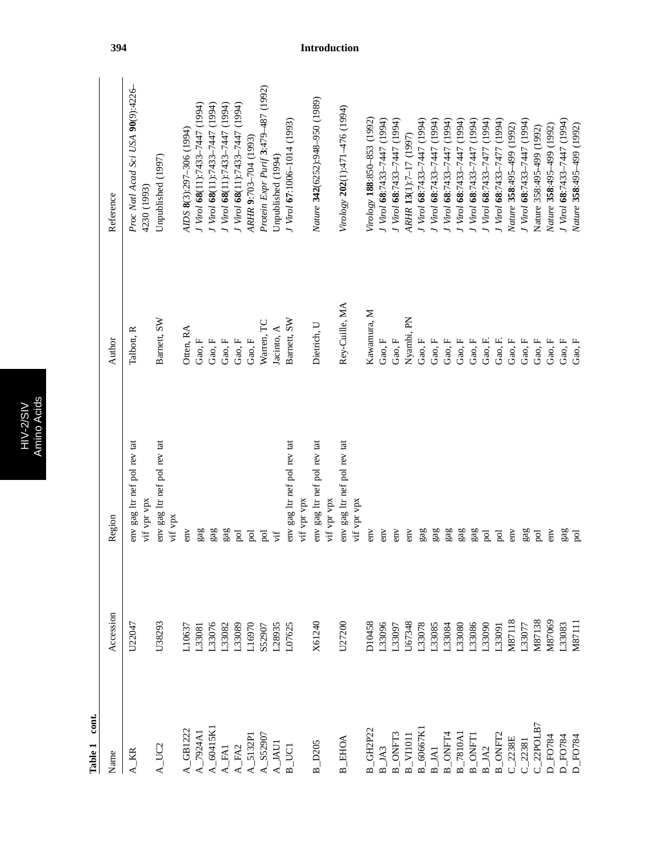| ź  | ۰      |
|----|--------|
| g. | 3      |
| ċ  | ē<br>٥ |
|    |        |
| ٠  |        |
|    |        |
|    | ٠<br>r |

Table 1 cont. **Table 1 cont.**

| Name                                                     | Accession     | Region                                                         | Author         | Reference                                         |
|----------------------------------------------------------|---------------|----------------------------------------------------------------|----------------|---------------------------------------------------|
| $A_K$ KR                                                 | U22047        | env gag ltr nef pol rev tat<br>vif vpr vpx                     | Talbott, R     | Proc Natl Acad Sci USA 90(9):4226-<br>4230 (1993) |
| $A_UCC2$                                                 | U38293        | env gag ltr nef pol rev tat<br>$\ensuremath{\mathsf{vif}}$ vpx | Barnett, SW    | Unpublished (1997)                                |
| $-$ GB1222                                               | L10637        | emv                                                            | Otten, RA      | AIDS 8(3):297-306 (1994)                          |
| $L$ A<br>2924A                                           | L33081        | gag                                                            | Gao, F         | J Virol 68(11):7433-7447 (1994)                   |
| A_60415K                                                 | L33076        | gag                                                            | Gao, F         | J Virol 68(11):7433-7447 (1994)                   |
| <b>A_FA1</b>                                             | L33082        | gag                                                            | Gao, F         | J Virol 68(11):7433-7447 (1994)                   |
| $A$ <sub>_FA2</sub>                                      | L33089        | $\rm \overline{p}$                                             | Gao, F         | J Virol 68(11):7433-7447 (1994)                   |
| $A_5132P1$                                               | L16970        | $\rm{P}$                                                       | Gao, F         | ARHR 9:703-704 (1993)                             |
| $A$ <sub>_S5290</sub> ;                                  | S52907        | pol                                                            | Warren, TC     | Protein Expr Purif 3:479-487 (1992)               |
| $A$ _JAU1                                                | L28935        | vif                                                            | Jacinto, A     | Unpublished (1994)                                |
| $B_U$ UCI                                                | L07625        | env gag ltr nef pol rev tat<br>vif vpr vpx                     | Barnett, SW    | I Virol 67:1006-1014 (1993)                       |
| $B$ D <sub>205</sub>                                     | X61240        | env gag ltr nef pol rev tat                                    | Dietrich, U    | Nature 342(6252):948-950 (1989)                   |
|                                                          |               | vif vpr vpx                                                    |                |                                                   |
| $B$ _EHOA                                                | U27200        | env gag ltr nef pol rev tat<br>vif vpr vpx                     | Rey-Cuille, MA | Virology 202(1):471-476 (1994)                    |
| B GH2P22                                                 | D10458        | emv                                                            | Kawamura, M    | Virology 188:850-853 (1992)                       |
| $B$ <sub>_JA3</sub>                                      | L33096        | emv                                                            | Gao, F         | J Virol 68:7433-7447 (1994)                       |
| <b>B_ONFT3</b>                                           | L33097        | env                                                            | Gao, ${\rm F}$ | J Virol 68:7433-7447 (1994)                       |
|                                                          | J67348        | emv                                                            | Nyambi, PN     | ARHR 13(1):7-17 (1997)                            |
| $\frac{\text{B\_VI1011}}{\text{B\_60667K1}}$             | L33078        | gag                                                            | Gao, F         | J Virol 68:7433-7447 (1994)                       |
| $B$ <sub>_</sub> JA1                                     | L33085        | gag                                                            | Gao, $F$       | J Virol 68:7433-7447 (1994)                       |
| $\frac{\text{B}\_\text{ONFT4}}{\text{B}\_\text{7810Al}}$ | L33084        | gag                                                            | Gao, $F$       | J Virol 68:7433-7447 (1994)                       |
|                                                          | L33080        | $ga$ g                                                         | Gao, F         | J Virol 68:7433-7447 (1994)                       |
| <b>B_ONFT1</b>                                           | L33086        | gag                                                            | Gao, F         | J Virol 68:7433-7447 (1994)                       |
| $B$ <sub>_JA2</sub>                                      | L33090        | $_{\rm{pol}}$                                                  | Gao, F.        | J Virol 68:7433-7477 (1994)                       |
| $B$ <sub>-</sub> ONFT <sub>2</sub>                       | L33091        | $_{\rm{pol}}$                                                  | Gao, F.        | J Virol 68:7433-7477 (1994)                       |
| $C_2238E$                                                | <b>M87118</b> | emv                                                            | Gao, F         | Nature 358:495-499 (1992)                         |
| $C_222381$                                               | L33077        | gag                                                            | Gao, F         | J Virol 68:7433-7447 (1994)                       |
| $C_22$ POLB7                                             | M87138        | pol                                                            | Gao, $F$       | Nature 358:495-499 (1992)                         |
| <b>D_FO784</b>                                           | VI87069       | emv                                                            | Gao, $F$       | Nature 358:495-499 (1992)                         |
| $D_F$ O784                                               | L33083        | gag                                                            | Gao, $F$       | J Virol 68:7433-7447 (1994)                       |
| <b>D_FO784</b>                                           | M87111        | pol                                                            | Gao, F         | Nature 358:495-499 (1992)                         |
|                                                          |               |                                                                |                |                                                   |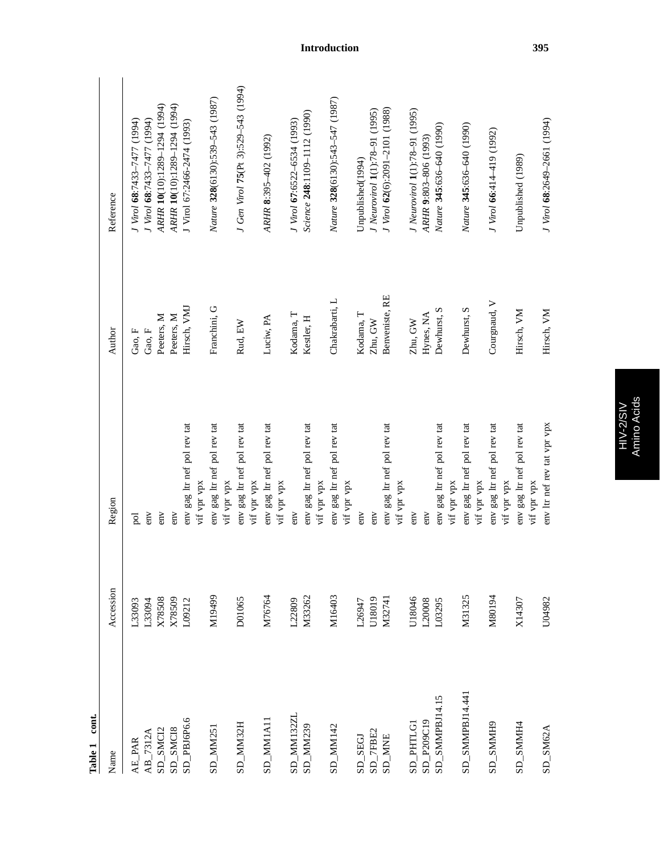| $\sim$               |           |                                            |                   |                                     |
|----------------------|-----------|--------------------------------------------|-------------------|-------------------------------------|
| Name                 | Accession | Region                                     | Author            | Reference                           |
| AE_PAR               | L33093    | pol                                        | $\rm{Gao},\rm{F}$ | (1994) 77477-7477 (1994)            |
| $AB_7312A$           | L33094    | emv                                        | Gao, F            | J Virol 68:7433-7477 (1994)         |
| SD_SMC <sub>12</sub> | X78508    | emv                                        | Peeters, M        | ARHR 10(10):1289-1294 (1994)        |
| SD_SMCI8             | X78509    | emv                                        | Peeters, M        | ARHR 10(10):1289-1294 (1994)        |
| $SD$ _PBJ6P6.6       | L09212    | env gag ltr nef pol rev tat                | Hirsch, VMJ       | J Virol 67:2466-2474 (1993)         |
|                      |           | vif vpr vpx                                |                   |                                     |
| $SD$ MM251           | M19499    | env gag ltr nef pol rev tat<br>vif vpr vpx | Franchini, G      | Nature 328(6130):539-543 (1987)     |
| SD_MM32H             | D01065    | env gag ltr nef pol rev tat<br>vif vpr vpx | Rud, EW           | J Gen Virol 75(Pt 3):529-543 (1994) |
| $SD\_MM1A11$         | M76764    | env gag ltr nef pol rev tat<br>vif vpr vpx | Luciw, PA         | ARHR 8:395-402 (1992)               |
| SD_MM132ZL           | L22809    | emv                                        | Kodama, T         | J Virol 67:6522-6534 (1993)         |
| $SD\_MM239$          | M33262    | env gag ltr nef pol rev tat<br>vif vpr vpx | Kestler, H        | Science 248:1109-1112 (1990)        |
| SD_MM142             | M16403    | env gag ltr nef pol rev tat<br>vif vpr vpx | Chakrabarti, L    | Nature 328(6130):543-547 (1987)     |
| SD_SEGJ              | L26947    | $rac{1}{2}$                                | Kodama, T         | Unpublished(1994)                   |
| $SD\_TEBE2$          | U18019    | emv                                        | Zhu, GW           | J Neurovirol 1(1):78-91 (1995)      |
| <b>SD_MNE</b>        | M32741    | env gag ltr nef pol rev tat                | Benveniste, RE    | J Virol 62(6):2091-2101 (1988)      |
|                      |           | vif vpr vpx                                |                   |                                     |
| SD PHTLG1            | J18046    | emv                                        | Zhu, GW           | J Neurovirol 1(1):78-91 (1995)      |
| SD_P209C19           | L20008    | env                                        | Hynes, NA         | ARHR 9:803-806 (1993)               |
| $SD$ _SMMPBJ14.15    | L03295    | env gag ltr nef pol rev tat<br>vif vpr vpx | Dewhurst, S       | Nature 345:636-640 (1990)           |
| $SD$ SMMPBJ14.441    | M31325    | env gag ltr nef pol rev tat<br>vif vpr vpx | Dewhurst, S       | Nature 345:636-640 (1990)           |
| SD_SMMH9             | M80194    | env gag ltr nef pol rev tat<br>vif vpr vpx | Courgnaud, V      | J Virol 66:414-419 (1992)           |
| $SD$ SMMH4           | X14307    | env gag ltr nef pol rev tat<br>vif vpr vpx | Hirsch, VM        | Unpublished (1989)                  |
| $SD$ _SM62A          | U04982    | env ltr nef rev tat vpr vpx                | Hirsch, VM        | J Virol 68:2649-2661 (1994)         |

Table 1 cont. **Table 1 cont.**